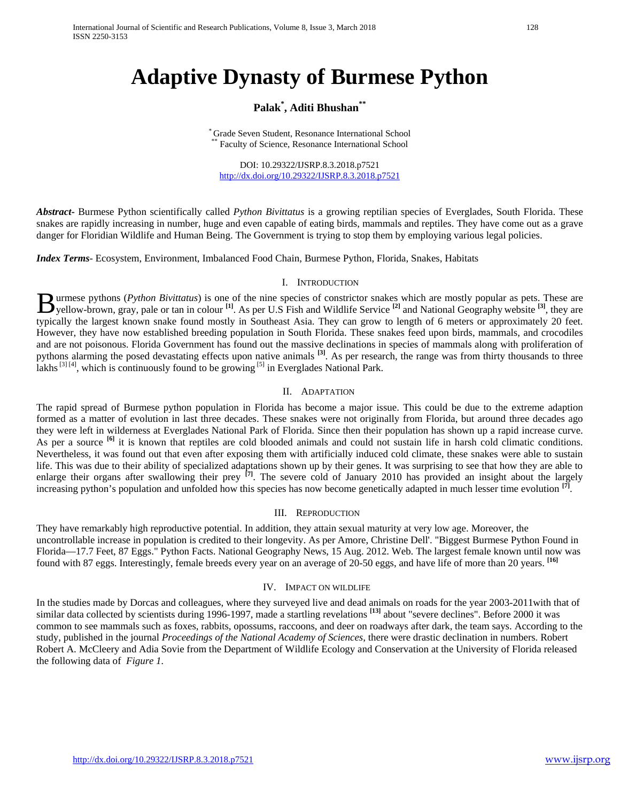International Journal of Scientific and Research Publications, Volume 8, Issue 3, March 2018 128 ISSN 2250-3153

# **Adaptive Dynasty of Burmese Python**

## **Palak\* , Aditi Bhushan\*\***

\* Grade Seven Student, Resonance International School \*\* Faculty of Science, Resonance International School

DOI: 10.29322/IJSRP.8.3.2018.p7521 <http://dx.doi.org/10.29322/IJSRP.8.3.2018.p7521>

*Abstract***-** Burmese Python scientifically called *Python Bivittatus* is a growing reptilian species of Everglades, South Florida. These snakes are rapidly increasing in number, huge and even capable of eating birds, mammals and reptiles. They have come out as a grave danger for Floridian Wildlife and Human Being. The Government is trying to stop them by employing various legal policies.

*Index Terms*- Ecosystem, Environment, Imbalanced Food Chain, Burmese Python, Florida, Snakes, Habitats

#### I. INTRODUCTION

urmese pythons (*Python Bivittatus*) is one of the nine species of constrictor snakes which are mostly popular as pets. These are **B** urmese pythons (*Python Bivittatus*) is one of the nine species of constrictor snakes which are mostly popular as pets. These are yellow-brown, gray, pale or tan in colour <sup>[1]</sup>. As per U.S Fish and Wildlife Service <sup>[</sup> typically the largest known snake found mostly in Southeast Asia. They can grow to length of 6 meters or approximately 20 feet. However, they have now established breeding population in South Florida. These snakes feed upon birds, mammals, and crocodiles and are not poisonous. Florida Government has found out the massive declinations in species of mammals along with proliferation of pythons alarming the posed devastating effects upon native animals **[3]** . As per research, the range was from thirty thousands to three lakhs<sup>[3][4]</sup>, which is continuously found to be growing<sup>[5]</sup> in Everglades National Park.

#### II. ADAPTATION

The rapid spread of Burmese python population in Florida has become a major issue. This could be due to the extreme adaption formed as a matter of evolution in last three decades. These snakes were not originally from Florida, but around three decades ago they were left in wilderness at Everglades National Park of Florida. Since then their population has shown up a rapid increase curve. As per a source <sup>[6]</sup> it is known that reptiles are cold blooded animals and could not sustain life in harsh cold climatic conditions. Nevertheless, it was found out that even after exposing them with artificially induced cold climate, these snakes were able to sustain life. This was due to their ability of specialized adaptations shown up by their genes. It was surprising to see that how they are able to enlarge their organs after swallowing their prey **[7]** . The severe cold of January 2010 has provided an insight about the largely increasing python's population and unfolded how this species has now become genetically adapted in much lesser time evolution **[7]**.

#### III. REPRODUCTION

They have remarkably high reproductive potential. In addition, they attain sexual maturity at very low age. Moreover, the uncontrollable increase in population is credited to their longevity. As per Amore, Christine Dell'. "Biggest Burmese Python Found in Florida—17.7 Feet, 87 Eggs." Python Facts. National Geography News, 15 Aug. 2012. Web. The largest female known until now was found with 87 eggs. Interestingly, female breeds every year on an average of 20-50 eggs, and have life of more than 20 years. **[16]**

#### IV. IMPACT ON WILDLIFE

In the studies made by Dorcas and colleagues, where they surveyed live and dead animals on roads for the year 2003-2011with that of similar data collected by scientists during 1996-1997, made a startling revelations **[13]** about "severe declines". Before 2000 it was common to see mammals such as foxes, rabbits, opossums, raccoons, and deer on roadways after dark, the team says. According to the study, published in the journal *Proceedings of the National Academy of Sciences*, there were drastic declination in numbers. Robert Robert A. McCleery and Adia Sovie from the Department of Wildlife Ecology and Conservation at the University of Florida released the following data of *Figure 1.*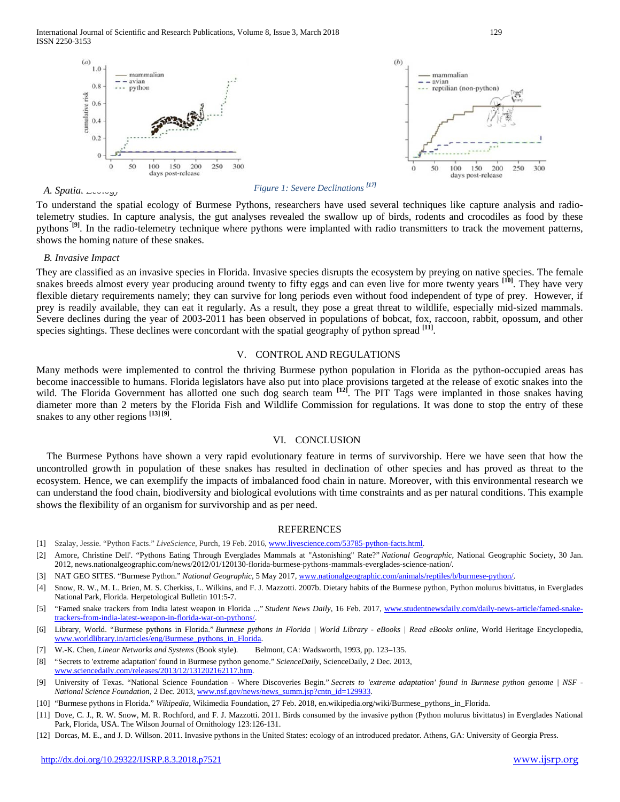

*A. Spatial Ecology*

#### *Figure 1: Severe Declinations [17]*

To understand the spatial ecology of Burmese Pythons, researchers have used several techniques like capture analysis and radiotelemetry studies. In capture analysis, the gut analyses revealed the swallow up of birds, rodents and crocodiles as food by these pythons <sup>[9]</sup>. In the radio-telemetry technique where pythons were implanted with radio transmitters to track the movement patterns, shows the homing nature of these snakes.

#### *B. Invasive Impact*

They are classified as an invasive species in Florida. Invasive species disrupts the ecosystem by preying on native species. The female snakes breeds almost every year producing around twenty to fifty eggs and can even live for more twenty years <sup>[10]</sup>. They have very flexible dietary requirements namely; they can survive for long periods even without food independent of type of prey. However, if prey is readily available, they can eat it regularly. As a result, they pose a great threat to wildlife, especially mid-sized mammals. Severe declines during the year of 2003-2011 has been observed in populations of bobcat, fox, raccoon, rabbit, opossum, and other species sightings. These declines were concordant with the spatial geography of python spread **[11]**.

#### V. CONTROL AND REGULATIONS

Many methods were implemented to control the thriving Burmese python population in Florida as the python-occupied areas has become inaccessible to humans. Florida legislators have also put into place provisions targeted at the release of exotic snakes into the wild. The Florida Government has allotted one such dog search team <sup>[12]</sup>. The PIT Tags were implanted in those snakes having diameter more than 2 meters by the Florida Fish and Wildlife Commission for regulations. It was done to stop the entry of these snakes to any other regions **[13] [9]**.

#### VI. CONCLUSION

The Burmese Pythons have shown a very rapid evolutionary feature in terms of survivorship. Here we have seen that how the uncontrolled growth in population of these snakes has resulted in declination of other species and has proved as threat to the ecosystem. Hence, we can exemplify the impacts of imbalanced food chain in nature. Moreover, with this environmental research we can understand the food chain, biodiversity and biological evolutions with time constraints and as per natural conditions. This example shows the flexibility of an organism for survivorship and as per need.

#### REFERENCES

- [1] Szalay, Jessie. "Python Facts." *LiveScience*, Purch, 19 Feb. 2016[, www.livescience.com/53785-python-facts.html.](http://www.livescience.com/53785-python-facts.html)
- [2] Amore, Christine Dell'. "Pythons Eating Through Everglades Mammals at "Astonishing" Rate?" *National Geographic*, National Geographic Society, 30 Jan. 2012, news.nationalgeographic.com/news/2012/01/120130-florida-burmese-pythons-mammals-everglades-science-nation/.
- [3] NAT GEO SITES. "Burmese Python." *National Geographic*, 5 May 2017[, www.nationalgeographic.com/animals/reptiles/b/burmese-python/.](http://www.nationalgeographic.com/animals/reptiles/b/burmese-python/)
- [4] Snow, R. W., M. L. Brien, M. S. Cherkiss, L. Wilkins, and F. J. Mazzotti. 2007b. Dietary habits of the Burmese python, Python molurus bivittatus, in Everglades National Park, Florida. Herpetological Bulletin 101:5-7.
- [5] "Famed snake trackers from India latest weapon in Florida ..." *Student News Daily*, 16 Feb. 2017[, www.studentnewsdaily.com/daily-news-article/famed-snake](http://www.studentnewsdaily.com/daily-news-article/famed-snake-trackers-from-india-latest-weapon-in-florida-war-on-pythons/)[trackers-from-india-latest-weapon-in-florida-war-on-pythons/.](http://www.studentnewsdaily.com/daily-news-article/famed-snake-trackers-from-india-latest-weapon-in-florida-war-on-pythons/)
- [6] Library, World. "Burmese pythons in Florida." *Burmese pythons in Florida | World Library - eBooks | Read eBooks online*, World Heritage Encyclopedia, [www.worldlibrary.in/articles/eng/Burmese\\_pythons\\_in\\_Florida.](http://www.worldlibrary.in/articles/eng/Burmese_pythons_in_Florida)
- [7] W.-K. Chen, *Linear Networks and Systems* (Book style)*.* Belmont, CA: Wadsworth, 1993, pp. 123–135.
- [8] "Secrets to 'extreme adaptation' found in Burmese python genome." *ScienceDaily*, ScienceDaily, 2 Dec. 2013, [www.sciencedaily.com/releases/2013/12/131202162117.htm.](http://www.sciencedaily.com/releases/2013/12/131202162117.htm)
- [9] University of Texas. "National Science Foundation Where Discoveries Begin." *Secrets to 'extreme adaptation' found in Burmese python genome | NSF - National Science Foundation*, 2 Dec. 2013[, www.nsf.gov/news/news\\_summ.jsp?cntn\\_id=129933.](http://www.nsf.gov/news/news_summ.jsp?cntn_id=129933)
- [10] "Burmese pythons in Florida." *Wikipedia*, Wikimedia Foundation, 27 Feb. 2018, en.wikipedia.org/wiki/Burmese\_pythons\_in\_Florida.
- [11] Dove, C. J., R. W. Snow, M. R. Rochford, and F. J. Mazzotti. 2011. Birds consumed by the invasive python (Python molurus bivittatus) in Everglades National Park, Florida, USA. The Wilson Journal of Ornithology 123:126-131.
- [12] Dorcas, M. E., and J. D. Willson. 2011. Invasive pythons in the United States: ecology of an introduced predator. Athens, GA: University of Georgia Press.